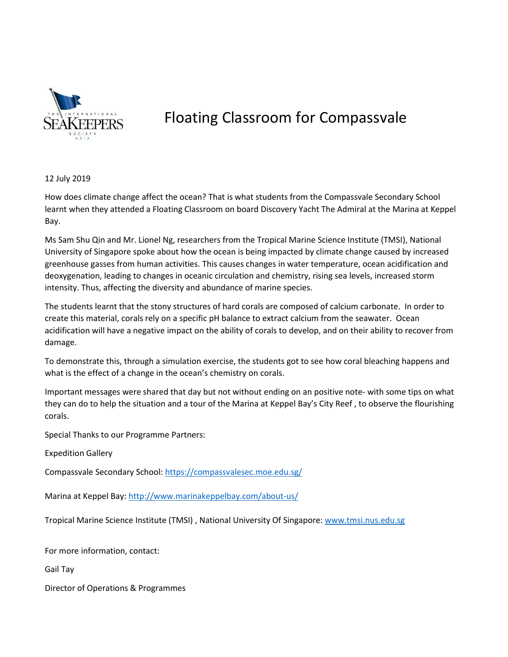

## Floating Classroom for Compassvale

12 July 2019

How does climate change affect the ocean? That is what students from the Compassvale Secondary School learnt when they attended a Floating Classroom on board Discovery Yacht The Admiral at the Marina at Keppel Bay.

Ms Sam Shu Qin and Mr. Lionel Ng, researchers from the Tropical Marine Science Institute (TMSI), National University of Singapore spoke about how the ocean is being impacted by climate change caused by increased greenhouse gasses from human activities. This causes changes in water temperature, ocean acidification and deoxygenation, leading to changes in oceanic circulation and chemistry, rising sea levels, increased storm intensity. Thus, affecting the diversity and abundance of marine species.

The students learnt that the stony structures of hard corals are composed of calcium carbonate. In order to create this material, corals rely on a specific pH balance to extract calcium from the seawater. Ocean acidification will have a negative impact on the ability of corals to develop, and on their ability to recover from damage.

To demonstrate this, through a simulation exercise, the students got to see how coral bleaching happens and what is the effect of a change in the ocean's chemistry on corals.

Important messages were shared that day but not without ending on an positive note- with some tips on what they can do to help the situation and a tour of the Marina at Keppel Bay's City Reef , to observe the flourishing corals.

Special Thanks to our Programme Partners:

Expedition Gallery

Compassvale Secondary School: <https://compassvalesec.moe.edu.sg/>

Marina at Keppel Bay: <http://www.marinakeppelbay.com/about-us/>

Tropical Marine Science Institute (TMSI) , National University Of Singapore: <www.tmsi.nus.edu.sg>

For more information, contact:

Gail Tay

Director of Operations & Programmes